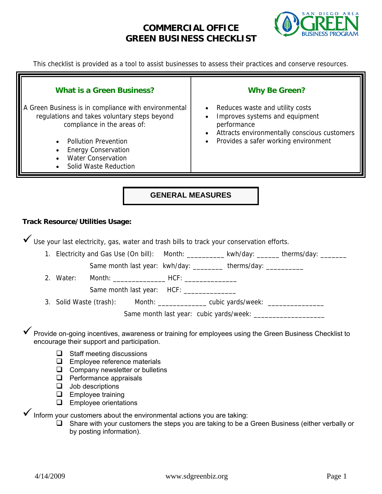## **COMMERCIAL OFFICE GREEN BUSINESS CHECKLIST**



This checklist is provided as a tool to assist businesses to assess their practices and conserve resources.

| <b>What is a Green Business?</b><br>A Green Business is in compliance with environmental<br>regulations and takes voluntary steps beyond<br>compliance in the areas of:<br><b>Pollution Prevention</b><br><b>Energy Conservation</b><br><b>Water Conservation</b><br><b>Solid Waste Reduction</b> | <b>Why Be Green?</b><br>Reduces waste and utility costs<br>Improves systems and equipment<br>performance<br>Attracts environmentally conscious customers<br>Provides a safer working environment<br>$\bullet$ |  |  |  |  |  |
|---------------------------------------------------------------------------------------------------------------------------------------------------------------------------------------------------------------------------------------------------------------------------------------------------|---------------------------------------------------------------------------------------------------------------------------------------------------------------------------------------------------------------|--|--|--|--|--|
| <b>GENERAL MEASURES</b>                                                                                                                                                                                                                                                                           |                                                                                                                                                                                                               |  |  |  |  |  |
| <b>Track Resource/Utilities Usage:</b>                                                                                                                                                                                                                                                            |                                                                                                                                                                                                               |  |  |  |  |  |
| V Use your last electricity, gas, water and trash bills to track your conservation efforts.                                                                                                                                                                                                       |                                                                                                                                                                                                               |  |  |  |  |  |
|                                                                                                                                                                                                                                                                                                   | 1. Electricity and Gas Use (On bill): Month: ___________ kwh/day: ______ therms/day: _______                                                                                                                  |  |  |  |  |  |
|                                                                                                                                                                                                                                                                                                   | Same month last year: kwh/day: _________ therms/day: __________                                                                                                                                               |  |  |  |  |  |
| 2. Water:                                                                                                                                                                                                                                                                                         |                                                                                                                                                                                                               |  |  |  |  |  |
|                                                                                                                                                                                                                                                                                                   |                                                                                                                                                                                                               |  |  |  |  |  |
| 3. Solid Waste (trash): Month: ____________ cubic yards/week: _________________                                                                                                                                                                                                                   |                                                                                                                                                                                                               |  |  |  |  |  |
|                                                                                                                                                                                                                                                                                                   |                                                                                                                                                                                                               |  |  |  |  |  |
| encourage their support and participation.                                                                                                                                                                                                                                                        | Provide on-going incentives, awareness or training for employees using the Green Business Checklist to                                                                                                        |  |  |  |  |  |
| Staff meeting discussions<br>⊔<br>Employee reference materials<br>⊔<br>Company newsletter or bulletins<br>$\Box$<br>Performance appraisals<br>❏<br>$\Box$<br>Job descriptions                                                                                                                     |                                                                                                                                                                                                               |  |  |  |  |  |

- **E** Employee training
- **Employee orientations**

 $\checkmark$  Inform your customers about the environmental actions you are taking:

 $\Box$  Share with your customers the steps you are taking to be a Green Business (either verbally or by posting information).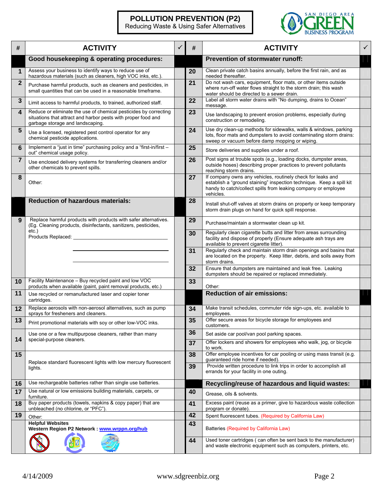#### **POLLUTION PREVENTION (P2)**

Reducing Waste & Using Safer Alternatives



| #              | <b>ACTIVITY</b>                                                                                                                                                       | #        | <b>ACTIVITY</b>                                                                                                                                                                                                    |  |
|----------------|-----------------------------------------------------------------------------------------------------------------------------------------------------------------------|----------|--------------------------------------------------------------------------------------------------------------------------------------------------------------------------------------------------------------------|--|
|                | Good housekeeping & operating procedures:                                                                                                                             |          | <b>Prevention of stormwater runoff:</b>                                                                                                                                                                            |  |
| $\mathbf 1$    | Assess your business to identify ways to reduce use of<br>hazardous materials (such as cleaners, high VOC inks, etc.).                                                | 20       | Clean private catch basins annually, before the first rain, and as<br>needed thereafter.                                                                                                                           |  |
| $\overline{2}$ | Purchase harmful products, such as cleaners and pesticides, in<br>small quantities that can be used in a reasonable timeframe.                                        | 21       | Do not wash cars, equipment, floor mats, or other items outside<br>where run-off water flows straight to the storm drain; this wash<br>water should be directed to a sewer drain.                                  |  |
| $\mathbf{3}$   | Limit access to harmful products, to trained, authorized staff.                                                                                                       | 22       | Label all storm water drains with "No dumping, drains to Ocean"<br>message.                                                                                                                                        |  |
| 4              | Reduce or eliminate the use of chemical pesticides by correcting<br>situations that attract and harbor pests with proper food and<br>garbage storage and landscaping. | 23       | Use landscaping to prevent erosion problems, especially during<br>construction or remodeling.                                                                                                                      |  |
| $5\phantom{1}$ | Use a licensed, registered pest control operator for any<br>chemical pesticide applications.                                                                          | 24       | Use dry clean-up methods for sidewalks, walls & windows, parking<br>lots, floor mats and dumpsters to avoid contaminating storm drains:<br>sweep or vacuum before damp mopping or wiping.                          |  |
| 6              | Implement a "just in time" purchasing policy and a "first-in/first -<br>out" chemical usage policy.                                                                   | 25       | Store deliveries and supplies under a roof.                                                                                                                                                                        |  |
| $\overline{7}$ | Use enclosed delivery systems for transferring cleaners and/or<br>other chemicals to prevent spills.                                                                  | 26       | Post signs at trouble spots (e.g., loading docks, dumpster areas,<br>outside hoses) describing proper practices to prevent pollutants<br>reaching storm drains.                                                    |  |
| 8              | Other:                                                                                                                                                                | 27       | If company owns any vehicles, routinely check for leaks and<br>establish a "ground staining" inspection technique. Keep a spill kit<br>handy to catch/collect spills from leaking company or employee<br>vehicles. |  |
|                | <b>Reduction of hazardous materials:</b>                                                                                                                              | 28       | Install shut-off valves at storm drains on property or keep temporary<br>storm drain plugs on hand for quick spill response.                                                                                       |  |
| 9              | Replace harmful products with products with safer alternatives.<br>(Eg. Cleaning products, disinfectants, sanitizers, pesticides,                                     | 29       | Purchase/maintain a stormwater clean up kit.                                                                                                                                                                       |  |
|                | etc.)<br>Products Replaced:                                                                                                                                           | 30       | Regularly clean cigarette butts and litter from areas surrounding<br>facility and dispose of properly (Ensure adequate ash trays are<br>available to prevent cigarette litter).                                    |  |
|                |                                                                                                                                                                       | 31       | Regularly check and maintain storm drain openings and basins that<br>are located on the property. Keep litter, debris, and soils away from<br>storm drains.                                                        |  |
|                |                                                                                                                                                                       | 32       | Ensure that dumpsters are maintained and leak free. Leaking<br>dumpsters should be repaired or replaced immediately.                                                                                               |  |
| 10             | Facility Maintenance - Buy recycled paint and low VOC<br>products when available (paint, paint removal products, etc.)                                                | 33       | Other:                                                                                                                                                                                                             |  |
| 11             | Use recycled or remanufactured laser and copier toner<br>cartridges.                                                                                                  |          | <b>Reduction of air emissions:</b>                                                                                                                                                                                 |  |
| 12             | Replace aerosols with non-aerosol alternatives, such as pump<br>sprays for fresheners and cleaners.                                                                   | 34       | Make transit schedules, commuter ride sign-ups, etc. available to<br>employees.                                                                                                                                    |  |
| 13             | Print promotional materials with soy or other low-VOC inks.                                                                                                           | 35       | Offer secure areas for bicycle storage for employees and<br>customers.                                                                                                                                             |  |
| 14             | Use one or a few multipurpose cleaners, rather than many<br>special-purpose cleaners.                                                                                 | 36       | Set aside car pool/van pool parking spaces.<br>Offer lockers and showers for employees who walk, jog, or bicycle                                                                                                   |  |
| 15             |                                                                                                                                                                       | 37<br>38 | to work.<br>Offer employee incentives for car pooling or using mass transit (e.g.                                                                                                                                  |  |
|                | Replace standard fluorescent lights with low mercury fluorescent                                                                                                      | 39       | quaranteed ride home if needed).<br>Provide written procedure to link trips in order to accomplish all                                                                                                             |  |
|                | lights.                                                                                                                                                               |          | errands for your facility in one outing.                                                                                                                                                                           |  |
| 16             | Use rechargeable batteries rather than single use batteries.                                                                                                          |          | Recycling/reuse of hazardous and liquid wastes:                                                                                                                                                                    |  |
| 17             | Use natural or low emissions building materials, carpets, or<br>furniture.                                                                                            | 40       | Grease, oils & solvents.                                                                                                                                                                                           |  |
| 18             | Buy paper products (towels, napkins & copy paper) that are<br>unbleached (no chlorine, or "PFC").                                                                     | 41       | Excess paint (reuse as a primer, give to hazardous waste collection<br>program or donate).                                                                                                                         |  |
| 19             | Other:                                                                                                                                                                | 42       | Spent fluorescent tubes. (Required by California Law)                                                                                                                                                              |  |
|                | <b>Helpful Websites</b><br>Western Region P2 Network: www.wrppn.org/hub                                                                                               | 43       | Batteries (Required by California Law)                                                                                                                                                                             |  |
|                |                                                                                                                                                                       | 44       | Used toner cartridges (can often be sent back to the manufacturer)<br>and waste electronic equipment such as computers, printers, etc.                                                                             |  |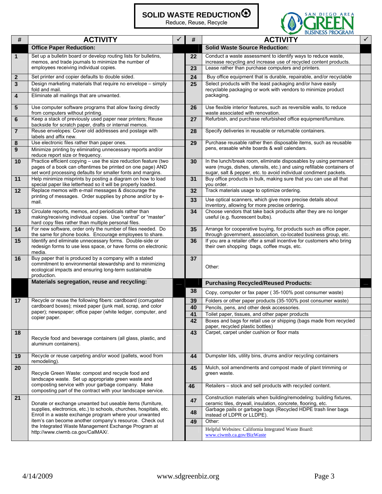## **SOLID WASTE REDUCTION**

Reduce, Reuse, Recycle



| #            | <b>ACTIVITY</b>                                                                                                                                                                                                                                                                                                                                 | #  | <b>ACTIVITY</b>                                                                                                                                                                                                  |  |
|--------------|-------------------------------------------------------------------------------------------------------------------------------------------------------------------------------------------------------------------------------------------------------------------------------------------------------------------------------------------------|----|------------------------------------------------------------------------------------------------------------------------------------------------------------------------------------------------------------------|--|
|              | <b>Office Paper Reduction:</b>                                                                                                                                                                                                                                                                                                                  |    | <b>Solid Waste Source Reduction:</b>                                                                                                                                                                             |  |
| $\mathbf{1}$ | Set up a bulletin board or develop routing lists for bulletins,<br>memos, and trade journals to minimize the number of                                                                                                                                                                                                                          | 22 | Conduct a waste assessment to identify ways to reduce waste,<br>increase recycling and increase use of recycled content products.                                                                                |  |
|              | employees receiving individual copies.                                                                                                                                                                                                                                                                                                          | 23 | Lease rather than purchase computers and printers.                                                                                                                                                               |  |
| $\mathbf{2}$ | Set printer and copier defaults to double sided.                                                                                                                                                                                                                                                                                                | 24 | Buy office equipment that is durable, repairable, and/or recyclable                                                                                                                                              |  |
| 3            | Design marketing materials that require no envelope – simply                                                                                                                                                                                                                                                                                    | 25 | Select products with the least packaging and/or have easily                                                                                                                                                      |  |
| 4            | fold and mail.<br>Eliminate all mailings that are unwanted.                                                                                                                                                                                                                                                                                     |    | recyclable packaging or work with vendors to minimize product<br>packaging.                                                                                                                                      |  |
| 5            | Use computer software programs that allow faxing directly<br>from computers without printing.                                                                                                                                                                                                                                                   | 26 | Use flexible interior features, such as reversible walls, to reduce<br>waste associated with renovation.                                                                                                         |  |
| 6            | Keep a stack of previously used paper near printers; Reuse<br>backside for scratch paper, drafts or internal memos.                                                                                                                                                                                                                             | 27 | Refurbish, and purchase refurbished office equipment/furniture.                                                                                                                                                  |  |
| 7            | Reuse envelopes: Cover old addresses and postage with<br>labels and affix new.                                                                                                                                                                                                                                                                  | 28 | Specify deliveries in reusable or returnable containers.                                                                                                                                                         |  |
| 8            | Use electronic files rather than paper ones.                                                                                                                                                                                                                                                                                                    | 29 | Purchase reusable rather then disposable items, such as reusable                                                                                                                                                 |  |
| 9            | Minimize printing by eliminating unnecessary reports and/or<br>reduce report size or frequency.                                                                                                                                                                                                                                                 |    | pens, erasable white boards & wall calendars.                                                                                                                                                                    |  |
| 10           | Practice efficient copying - use the size reduction feature (two<br>pages of a book can oftentimes be printed on one page) AND<br>set word processing defaults for smaller fonts and margins.                                                                                                                                                   | 30 | In the lunch/break room, eliminate disposables by using permanent<br>ware (mugs, dishes, utensils, etc.) and using refillable containers of<br>sugar, salt & pepper, etc. to avoid individual condiment packets. |  |
| 11           | Help minimize misprints by posting a diagram on how to load<br>special paper like letterhead so it will be properly loaded.                                                                                                                                                                                                                     | 31 | Buy office products in bulk, making sure that you can use all that<br>you order.                                                                                                                                 |  |
| $12 \,$      | Replace memos with e-mail messages & discourage the                                                                                                                                                                                                                                                                                             | 32 | Track materials usage to optimize ordering.                                                                                                                                                                      |  |
|              | printing of messages. Order supplies by phone and/or by e-<br>mail.                                                                                                                                                                                                                                                                             | 33 | Use optical scanners, which give more precise details about<br>inventory, allowing for more precise ordering.                                                                                                    |  |
| 13           | Circulate reports, memos, and periodicals rather than<br>making/receiving individual copies. Use "central" or "master"<br>hard copy files rather than multiple personal files.                                                                                                                                                                  | 34 | Choose vendors that take back products after they are no longer<br>useful (e.g. fluorescent bulbs).                                                                                                              |  |
| 14           | For new software, order only the number of files needed. Do<br>the same for phone books. Encourage employees to share.                                                                                                                                                                                                                          | 35 | Arrange for cooperative buying, for products such as office paper,<br>through government, association, co-located business group, etc.                                                                           |  |
| 15           | Identify and eliminate unnecessary forms. Double-side or<br>redesign forms to use less space, or have forms on electronic<br>media.                                                                                                                                                                                                             | 36 | If you are a retailer offer a small incentive for customers who bring<br>their own shopping bags, coffee mugs, etc.                                                                                              |  |
| 16           | Buy paper that is produced by a company with a stated<br>commitment to environmental stewardship and to minimizing<br>ecological impacts and ensuring long-term sustainable<br>production.                                                                                                                                                      | 37 | Other:                                                                                                                                                                                                           |  |
|              | Materials segregation, reuse and recycling:                                                                                                                                                                                                                                                                                                     |    | <b>Purchasing Recycled/Reused Products:</b>                                                                                                                                                                      |  |
|              |                                                                                                                                                                                                                                                                                                                                                 | 38 | Copy, computer or fax paper (35-100% post consumer waste)                                                                                                                                                        |  |
| 17           | Recycle or reuse the following fibers: cardboard (corrugated<br>cardboard boxes); mixed paper (junk mail, scrap, and color<br>paper); newspaper; office paper (white ledger, computer, and<br>copier paper.                                                                                                                                     | 39 | Folders or other paper products (35-100% post consumer waste)                                                                                                                                                    |  |
|              |                                                                                                                                                                                                                                                                                                                                                 | 40 | Pencils, pens, and other desk accessories.                                                                                                                                                                       |  |
|              |                                                                                                                                                                                                                                                                                                                                                 | 41 | Toilet paper, tissues, and other paper products                                                                                                                                                                  |  |
|              |                                                                                                                                                                                                                                                                                                                                                 | 42 | Boxes and bags for retail use or shipping (bags made from recycled<br>paper, recycled plastic bottles)                                                                                                           |  |
| 18           | Recycle food and beverage containers (all glass, plastic, and<br>aluminum containers).                                                                                                                                                                                                                                                          | 43 | Carpet, carpet under cushion or floor mats                                                                                                                                                                       |  |
| 19           | Recycle or reuse carpeting and/or wood (pallets, wood from<br>remodeling).                                                                                                                                                                                                                                                                      | 44 | Dumpster lids, utility bins, drums and/or recycling containers                                                                                                                                                   |  |
| 20           | Recycle Green Waste: compost and recycle food and<br>landscape waste. Set up appropriate green waste and                                                                                                                                                                                                                                        | 45 | Mulch, soil amendments and compost made of plant trimming or<br>green waste.                                                                                                                                     |  |
|              | composting service with your garbage company. Make<br>composting part of the contract with your landscape service.                                                                                                                                                                                                                              | 46 | Retailers - stock and sell products with recycled content.                                                                                                                                                       |  |
| 21           | Donate or exchange unwanted but useable items (furniture,<br>supplies, electronics, etc.) to schools, churches, hospitals, etc.<br>Enroll in a waste exchange program where your unwanted<br>item's can become another company's resource. Check out<br>the Integrated Waste Management Exchange Program at<br>http://www.ciwmb.ca.gov/CalMAX/. | 47 | Construction materials when building/remodeling: building fixtures,<br>ceramic tiles, drywall, insulation, concrete, flooring, etc.                                                                              |  |
|              |                                                                                                                                                                                                                                                                                                                                                 | 48 | Garbage pails or garbage bags (Recycled HDPE trash liner bags<br>instead of LDPR or LLDPE).                                                                                                                      |  |
|              |                                                                                                                                                                                                                                                                                                                                                 | 49 | Other:                                                                                                                                                                                                           |  |
|              |                                                                                                                                                                                                                                                                                                                                                 |    | Helpful Websites: California Integrated Waste Board:<br>www.ciwmb.ca.gov/BizWaste                                                                                                                                |  |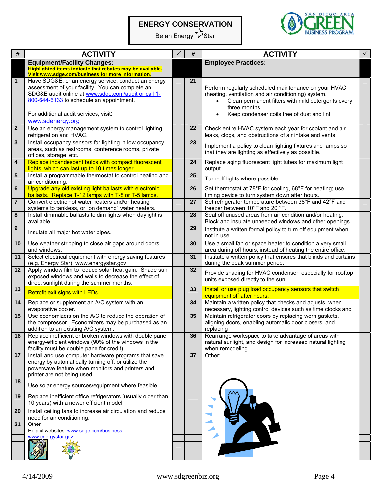# **ENERGY CONSERVATION**

Be an Energy **Star** 



| #               | <b>ACTIVITY</b>                                                                                                                                                                                                                                                         | #  | <b>ACTIVITY</b>                                                                                                                                                                                                                                            |  |
|-----------------|-------------------------------------------------------------------------------------------------------------------------------------------------------------------------------------------------------------------------------------------------------------------------|----|------------------------------------------------------------------------------------------------------------------------------------------------------------------------------------------------------------------------------------------------------------|--|
|                 | <b>Equipment/Facility Changes:</b><br>Highlighted items indicate that rebates may be available.<br>Visit www.sdge.com/business for more information.                                                                                                                    |    | <b>Employee Practices:</b>                                                                                                                                                                                                                                 |  |
| $\mathbf{1}$    | Have SDG&E, or an energy service, conduct an energy<br>assessment of your facility. You can complete an<br>SDG&E audit online at www.sdge.com/audit or call 1-<br>800-644-6133 to schedule an appointment.<br>For additional audit services, visit:<br>www.sdenergy.org | 21 | Perform regularly scheduled maintenance on your HVAC<br>(heating, ventilation and air conditioning) system.<br>Clean permanent filters with mild detergents every<br>$\bullet$<br>three months.<br>Keep condenser coils free of dust and lint<br>$\bullet$ |  |
| $\overline{2}$  | Use an energy management system to control lighting,<br>refrigeration and HVAC.                                                                                                                                                                                         | 22 | Check entire HVAC system each year for coolant and air<br>leaks, clogs, and obstructions of air intake and vents.                                                                                                                                          |  |
| 3               | Install occupancy sensors for lighting in low occupancy<br>areas, such as restrooms, conference rooms, private<br>offices, storage, etc.                                                                                                                                | 23 | Implement a policy to clean lighting fixtures and lamps so<br>that they are lighting as effectively as possible.                                                                                                                                           |  |
| 4               | Replace incandescent bulbs with compact fluorescent<br>lights, which can last up to 10 times longer.                                                                                                                                                                    | 24 | Replace aging fluorescent light tubes for maximum light<br>output.                                                                                                                                                                                         |  |
| $5\phantom{.0}$ | Install a programmable thermostat to control heating and<br>air conditioning.                                                                                                                                                                                           | 25 | Turn-off lights where possible.                                                                                                                                                                                                                            |  |
| 6               | Upgrade any old existing light ballasts with electronic<br>ballasts. Replace T-12 lamps with T-8 or T-5 lamps.                                                                                                                                                          | 26 | Set thermostat at 78°F for cooling, 68°F for heating; use<br>timing device to turn system down after hours.                                                                                                                                                |  |
| $\overline{7}$  | Convert electric hot water heaters and/or heating<br>systems to tankless, or "on demand" water heaters.                                                                                                                                                                 | 27 | Set refrigerator temperature between 38°F and 42°F and<br>freezer between 10°F and 20 °F.                                                                                                                                                                  |  |
| 8               | Install dimmable ballasts to dim lights when daylight is<br>available.                                                                                                                                                                                                  | 28 | Seal off unused areas from air condition and/or heating.<br>Block and insulate unneeded windows and other openings.                                                                                                                                        |  |
| 9               | Insulate all major hot water pipes.                                                                                                                                                                                                                                     | 29 | Institute a written formal policy to turn off equipment when<br>not in use.                                                                                                                                                                                |  |
| 10              | Use weather stripping to close air gaps around doors<br>and windows.                                                                                                                                                                                                    | 30 | Use a small fan or space heater to condition a very small<br>area during off hours, instead of heating the entire office.                                                                                                                                  |  |
| 11              | Select electrical equipment with energy saving features<br>(e.g. Energy Star). www.energystar.gov                                                                                                                                                                       | 31 | Institute a written policy that ensures that blinds and curtains<br>during the peak summer period.                                                                                                                                                         |  |
| 12              | Apply window film to reduce solar heat gain. Shade sun<br>exposed windows and walls to decrease the effect of<br>direct sunlight during the summer months.                                                                                                              | 32 | Provide shading for HVAC condenser, especially for rooftop<br>units exposed directly to the sun.                                                                                                                                                           |  |
| 13              | Retrofit exit signs with LEDs.                                                                                                                                                                                                                                          | 33 | Install or use plug load occupancy sensors that switch<br>equipment off after hours.                                                                                                                                                                       |  |
| 14              | Replace or supplement an A/C system with an<br>evaporative cooler.                                                                                                                                                                                                      | 34 | Maintain a written policy that checks and adjusts, when<br>necessary, lighting control devices such as time clocks and                                                                                                                                     |  |
| 15              | Use economizers on the A/C to reduce the operation of<br>the compressor. Economizers may be purchased as an<br>addition to an existing A/C system.                                                                                                                      | 35 | Maintain refrigerator doors by replacing worn gaskets,<br>aligning doors, enabling automatic door closers, and<br>replacing                                                                                                                                |  |
| 16              | Replace inefficient or broken windows with double pane<br>energy-efficient windows (90% of the windows in the<br>facility must be double pane for credit).                                                                                                              | 36 | Rearrange workspace to take advantage of areas with<br>natural sunlight, and design for increased natural lighting<br>when remodeling.                                                                                                                     |  |
| 17              | Install and use computer hardware programs that save<br>energy by automatically turning off, or utilize the<br>powersave feature when monitors and printers and<br>printer are not being used.                                                                          | 37 | Other:                                                                                                                                                                                                                                                     |  |
| 18              | Use solar energy sources/equipment where feasible.                                                                                                                                                                                                                      |    |                                                                                                                                                                                                                                                            |  |
| 19              | Replace inefficient office refrigerators (usually older than<br>10 years) with a newer efficient model.                                                                                                                                                                 |    |                                                                                                                                                                                                                                                            |  |
| 20              | Install ceiling fans to increase air circulation and reduce<br>need for air conditioning.                                                                                                                                                                               |    |                                                                                                                                                                                                                                                            |  |
| 21              | Other:<br>Helpful websites: www.sdge.com/business                                                                                                                                                                                                                       |    |                                                                                                                                                                                                                                                            |  |
|                 | www.energystar.gov                                                                                                                                                                                                                                                      |    |                                                                                                                                                                                                                                                            |  |